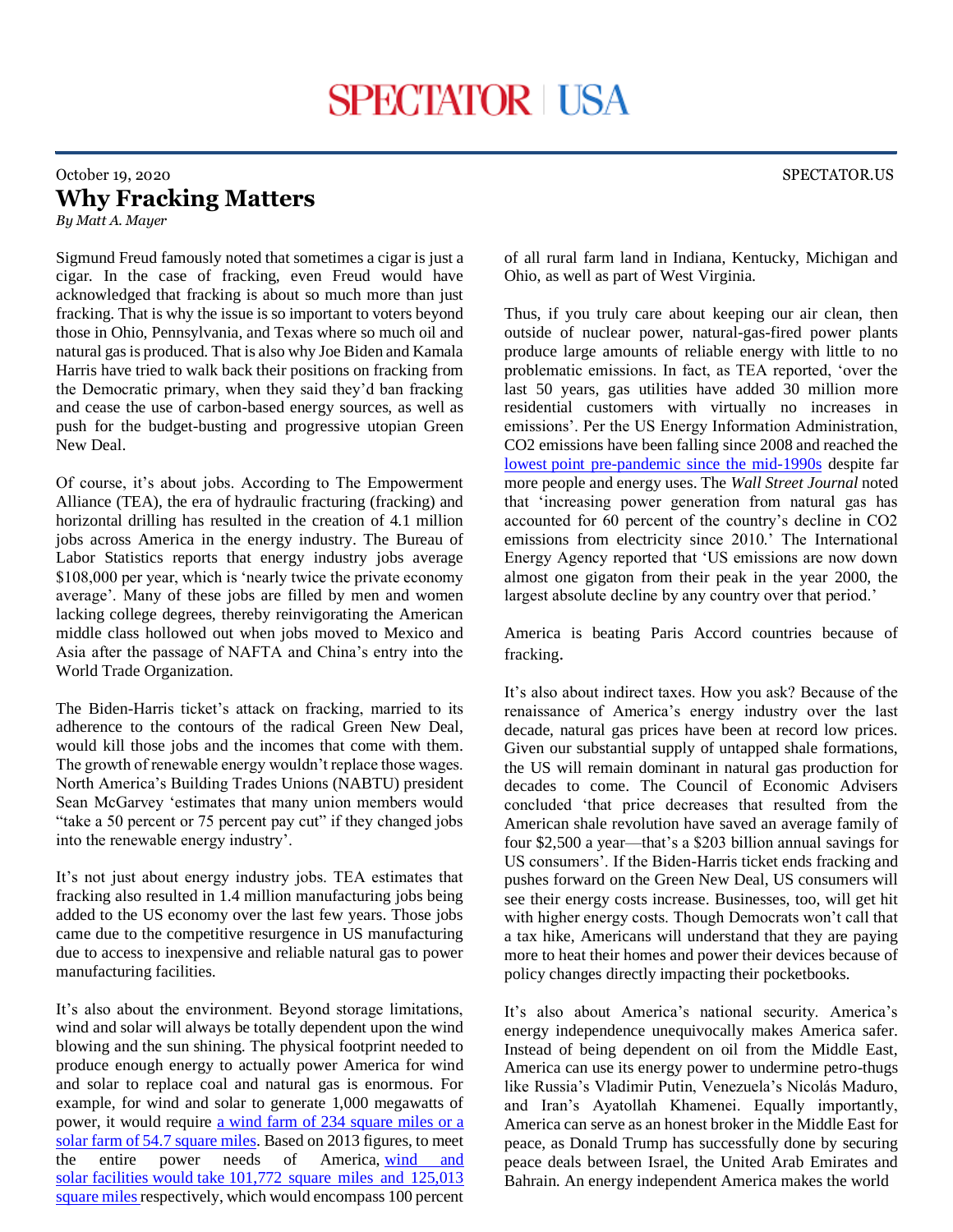## October 19, 2020 SPECTATOR.US **Why Fracking Matters**

*By Matt A. Mayer*

Sigmund Freud famously noted that sometimes a cigar is just a cigar. In the case of fracking, even Freud would have acknowledged that fracking is about so much more than just fracking. That is why the issue is so important to voters beyond those in Ohio, Pennsylvania, and Texas where so much oil and natural gas is produced. That is also why Joe Biden and Kamala Harris have tried to walk back their positions on fracking from the Democratic primary, when they said they'd ban fracking and cease the use of carbon-based energy sources, as well as push for the budget-busting and progressive utopian Green New Deal.

Of course, it's about jobs. According to The Empowerment Alliance (TEA), the era of hydraulic fracturing (fracking) and horizontal drilling has resulted in the creation of 4.1 million jobs across America in the energy industry. The Bureau of Labor Statistics reports that energy industry jobs average \$108,000 per year, which is 'nearly twice the private economy average'. Many of these jobs are filled by men and women lacking college degrees, thereby reinvigorating the American middle class hollowed out when jobs moved to Mexico and Asia after the passage of NAFTA and China's entry into the World Trade Organization.

The Biden-Harris ticket's attack on fracking, married to its adherence to the contours of the radical Green New Deal, would kill those jobs and the incomes that come with them. The growth of renewable energy wouldn't replace those wages. North America's Building Trades Unions (NABTU) president Sean McGarvey 'estimates that many union members would "take a 50 percent or 75 percent pay cut" if they changed jobs into the renewable energy industry'.

It's not just about energy industry jobs. TEA estimates that fracking also resulted in 1.4 million manufacturing jobs being added to the US economy over the last few years. Those jobs came due to the competitive resurgence in US manufacturing due to access to inexpensive and reliable natural gas to power manufacturing facilities.

It's also about the environment. Beyond storage limitations, wind and solar will always be totally dependent upon the wind blowing and the sun shining. The physical footprint needed to produce enough energy to actually power America for wind and solar to replace coal and natural gas is enormous. For example, for wind and solar to generate 1,000 megawatts of power, it would require [a wind farm of 234 square miles or a](http://www.opportunityohio.org/wp-content/uploads/2017/05/Energy-Realities.pdf)  [solar farm of 54.7 square miles.](http://www.opportunityohio.org/wp-content/uploads/2017/05/Energy-Realities.pdf) Based on 2013 figures, to meet the entire power needs of America, [wind and](http://www.opportunityohio.org/wp-content/uploads/2012/01/Energy-Wind-Solar-Land-Grab.pdf)  solar facilities would take 101,772 square miles and 125,013 [square miles r](http://www.opportunityohio.org/wp-content/uploads/2012/01/Energy-Wind-Solar-Land-Grab.pdf)espectively, which would encompass 100 percent

of all rural farm land in Indiana, Kentucky, Michigan and Ohio, as well as part of West Virginia.

Thus, if you truly care about keeping our air clean, then outside of nuclear power, natural-gas-fired power plants produce large amounts of reliable energy with little to no problematic emissions. In fact, as TEA reported, 'over the last 50 years, gas utilities have added 30 million more residential customers with virtually no increases in emissions'. Per the US Energy Information Administration, CO2 emissions have been falling since 2008 and reached the lowest [point pre-pandemic since the mid-1990s](https://www.eia.gov/todayinenergy/detail.php?id=44837) despite far more people and energy uses. The *Wall Street Journal* noted that 'increasing power generation from natural gas has accounted for 60 percent of the country's decline in CO2 emissions from electricity since 2010.' The International Energy Agency reported that 'US emissions are now down almost one gigaton from their peak in the year 2000, the largest absolute decline by any country over that period.'

America is beating Paris Accord countries because of fracking.

It's also about indirect taxes. How you ask? Because of the renaissance of America's energy industry over the last decade, natural gas prices have been at record low prices. Given our substantial supply of untapped shale formations, the US will remain dominant in natural gas production for decades to come. The Council of Economic Advisers concluded 'that price decreases that resulted from the American shale revolution have saved an average family of four \$2,500 a year—that's a \$203 billion annual savings for US consumers'. If the Biden-Harris ticket ends fracking and pushes forward on the Green New Deal, US consumers will see their energy costs increase. Businesses, too, will get hit with higher energy costs. Though Democrats won't call that a tax hike, Americans will understand that they are paying more to heat their homes and power their devices because of policy changes directly impacting their pocketbooks.

It's also about America's national security. America's energy independence unequivocally makes America safer. Instead of being dependent on oil from the Middle East, America can use its energy power to undermine petro-thugs like Russia's Vladimir Putin, Venezuela's Nicolás Maduro, and Iran's Ayatollah Khamenei. Equally importantly, America can serve as an honest broker in the Middle East for peace, as Donald Trump has successfully done by securing peace deals between Israel, the United Arab Emirates and Bahrain. An energy independent America makes the world